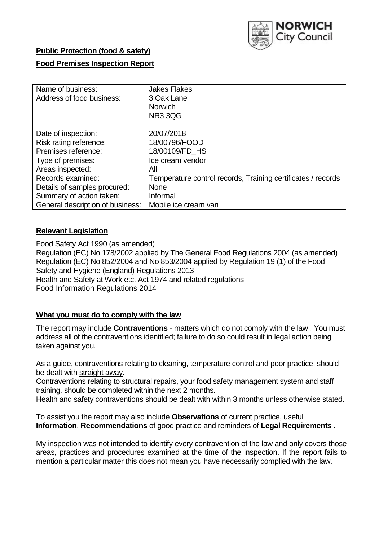

### **Public Protection (food & safety)**

### **Food Premises Inspection Report**

| Name of business:                | <b>Jakes Flakes</b>                                          |
|----------------------------------|--------------------------------------------------------------|
| Address of food business:        | 3 Oak Lane                                                   |
|                                  | Norwich                                                      |
|                                  | <b>NR3 3QG</b>                                               |
| Date of inspection:              | 20/07/2018                                                   |
| Risk rating reference:           | 18/00796/FOOD                                                |
| Premises reference:              | 18/00109/FD_HS                                               |
| Type of premises:                | Ice cream vendor                                             |
| Areas inspected:                 | All                                                          |
| Records examined:                | Temperature control records, Training certificates / records |
| Details of samples procured:     | <b>None</b>                                                  |
| Summary of action taken:         | Informal                                                     |
| General description of business: | Mobile ice cream van                                         |

### **Relevant Legislation**

Food Safety Act 1990 (as amended) Regulation (EC) No 178/2002 applied by The General Food Regulations 2004 (as amended) Regulation (EC) No 852/2004 and No 853/2004 applied by Regulation 19 (1) of the Food Safety and Hygiene (England) Regulations 2013 Health and Safety at Work etc. Act 1974 and related regulations Food Information Regulations 2014

### **What you must do to comply with the law**

The report may include **Contraventions** - matters which do not comply with the law . You must address all of the contraventions identified; failure to do so could result in legal action being taken against you.

As a guide, contraventions relating to cleaning, temperature control and poor practice, should be dealt with straight away.

Contraventions relating to structural repairs, your food safety management system and staff training, should be completed within the next 2 months.

Health and safety contraventions should be dealt with within 3 months unless otherwise stated.

To assist you the report may also include **Observations** of current practice, useful **Information**, **Recommendations** of good practice and reminders of **Legal Requirements .**

My inspection was not intended to identify every contravention of the law and only covers those areas, practices and procedures examined at the time of the inspection. If the report fails to mention a particular matter this does not mean you have necessarily complied with the law.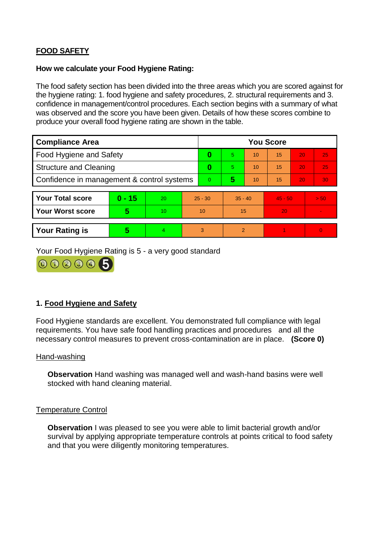# **FOOD SAFETY**

#### **How we calculate your Food Hygiene Rating:**

The food safety section has been divided into the three areas which you are scored against for the hygiene rating: 1. food hygiene and safety procedures, 2. structural requirements and 3. confidence in management/control procedures. Each section begins with a summary of what was observed and the score you have been given. Details of how these scores combine to produce your overall food hygiene rating are shown in the table.

| <b>Compliance Area</b>                     |          |    |           | <b>You Score</b> |                |    |           |    |                |  |  |
|--------------------------------------------|----------|----|-----------|------------------|----------------|----|-----------|----|----------------|--|--|
| Food Hygiene and Safety                    |          |    |           | 0                | $\overline{5}$ | 10 | 15        | 20 | 25             |  |  |
| <b>Structure and Cleaning</b>              |          |    | 0         | 5.               | 10             | 15 | 20        | 25 |                |  |  |
| Confidence in management & control systems |          |    | $\Omega$  | 5                | 10             | 15 | 20        | 30 |                |  |  |
|                                            |          |    |           |                  |                |    |           |    |                |  |  |
| <b>Your Total score</b>                    | $0 - 15$ | 20 | $25 - 30$ |                  | $35 - 40$      |    | $45 - 50$ |    | > 50           |  |  |
| <b>Your Worst score</b>                    | 5        | 10 | 10        |                  | 15             |    | 20        |    | $\blacksquare$ |  |  |
|                                            |          |    |           |                  |                |    |           |    |                |  |  |
| <b>Your Rating is</b>                      | 5        | 4  | 3         |                  | $\overline{2}$ |    |           |    | $\Omega$       |  |  |

Your Food Hygiene Rating is 5 - a very good standard



## **1. Food Hygiene and Safety**

Food Hygiene standards are excellent. You demonstrated full compliance with legal requirements. You have safe food handling practices and procedures and all the necessary control measures to prevent cross-contamination are in place. **(Score 0)**

#### Hand-washing

**Observation** Hand washing was managed well and wash-hand basins were well stocked with hand cleaning material.

### Temperature Control

**Observation** I was pleased to see you were able to limit bacterial growth and/or survival by applying appropriate temperature controls at points critical to food safety and that you were diligently monitoring temperatures.